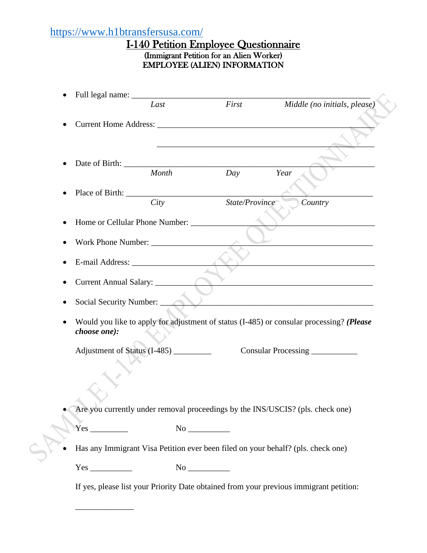# <https://www.h1btransfersusa.com/>

\_\_\_\_\_\_\_\_\_\_\_\_\_\_

## I-140 Petition Employee Questionnaire (Immigrant Petition for an Alien Worker) EMPLOYEE (ALIEN) INFORMATION

|           |                                                                                                          | Last  | First          | Middle (no initials, please) |  |  |  |  |
|-----------|----------------------------------------------------------------------------------------------------------|-------|----------------|------------------------------|--|--|--|--|
| $\bullet$ |                                                                                                          |       |                |                              |  |  |  |  |
|           |                                                                                                          |       |                |                              |  |  |  |  |
|           |                                                                                                          |       |                |                              |  |  |  |  |
|           |                                                                                                          |       |                |                              |  |  |  |  |
|           |                                                                                                          | Month | Day            | Year                         |  |  |  |  |
|           |                                                                                                          |       |                |                              |  |  |  |  |
|           |                                                                                                          | City  | State/Province | Country                      |  |  |  |  |
|           |                                                                                                          |       |                |                              |  |  |  |  |
|           |                                                                                                          |       |                |                              |  |  |  |  |
|           | the control of the control of the control of the control of the control of                               |       |                |                              |  |  |  |  |
|           |                                                                                                          |       |                |                              |  |  |  |  |
|           | Current Annual Salary: __________                                                                        |       |                |                              |  |  |  |  |
|           |                                                                                                          |       |                |                              |  |  |  |  |
|           | Social Security Number:                                                                                  |       |                |                              |  |  |  |  |
|           | Would you like to apply for adjustment of status (I-485) or consular processing? (Please<br>choose one): |       |                |                              |  |  |  |  |
|           |                                                                                                          |       |                |                              |  |  |  |  |
|           | Adjustment of Status (I-485) _________                                                                   |       |                | Consular Processing          |  |  |  |  |
|           |                                                                                                          |       |                |                              |  |  |  |  |
|           |                                                                                                          |       |                |                              |  |  |  |  |
|           |                                                                                                          |       |                |                              |  |  |  |  |
|           | Are you currently under removal proceedings by the INS/USCIS? (pls. check one)                           |       |                |                              |  |  |  |  |
|           |                                                                                                          |       |                |                              |  |  |  |  |
|           |                                                                                                          |       |                |                              |  |  |  |  |
|           | Has any Immigrant Visa Petition ever been filed on your behalf? (pls. check one)                         |       |                |                              |  |  |  |  |
|           |                                                                                                          |       |                |                              |  |  |  |  |
|           | If yes, please list your Priority Date obtained from your previous immigrant petition:                   |       |                |                              |  |  |  |  |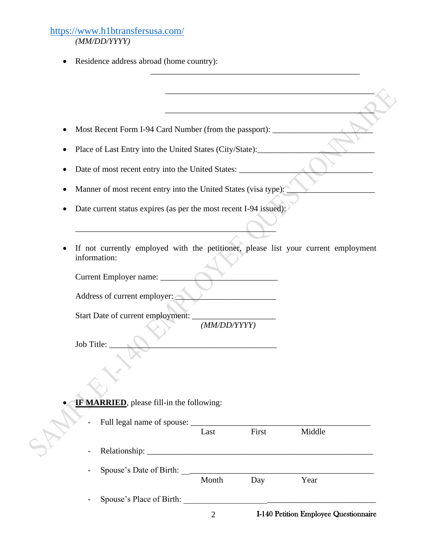### <https://www.h1btransfersusa.com/>  *(MM/DD/YYYY)*

• Residence address abroad (home country):

|                          |                                                                                                                           | Month        | Day   | Year   |  |  |
|--------------------------|---------------------------------------------------------------------------------------------------------------------------|--------------|-------|--------|--|--|
| $\overline{\phantom{a}}$ |                                                                                                                           |              |       |        |  |  |
|                          |                                                                                                                           |              |       |        |  |  |
|                          |                                                                                                                           | Last         | First | Middle |  |  |
|                          |                                                                                                                           |              |       |        |  |  |
|                          | <b>IF MARRIED</b> , please fill-in the following:                                                                         |              |       |        |  |  |
|                          |                                                                                                                           |              |       |        |  |  |
|                          |                                                                                                                           |              |       |        |  |  |
| Job Title:               |                                                                                                                           |              |       |        |  |  |
|                          | Start Date of current employment:                                                                                         | (MM/DD/YYYY) |       |        |  |  |
|                          | Address of current employer:                                                                                              |              |       |        |  |  |
|                          |                                                                                                                           |              |       |        |  |  |
|                          | Current Employer name: ____                                                                                               |              |       |        |  |  |
| information:             | If not currently employed with the petitioner, please list your current employment                                        |              |       |        |  |  |
|                          |                                                                                                                           |              |       |        |  |  |
|                          | Date current status expires (as per the most recent I-94 issued):                                                         |              |       |        |  |  |
|                          | Manner of most recent entry into the United States (visa type):                                                           |              |       |        |  |  |
|                          | Date of most recent entry into the United States:                                                                         |              |       |        |  |  |
|                          |                                                                                                                           |              |       |        |  |  |
|                          | Most Recent Form I-94 Card Number (from the passport): ______<br>Place of Last Entry into the United States (City/State): |              |       |        |  |  |
|                          |                                                                                                                           |              |       |        |  |  |
|                          |                                                                                                                           |              |       |        |  |  |

\_\_\_\_\_\_\_\_\_\_\_\_\_\_\_\_\_\_\_\_\_\_\_\_\_\_\_\_\_\_\_\_\_\_\_\_\_\_\_\_\_\_\_\_\_\_\_\_\_\_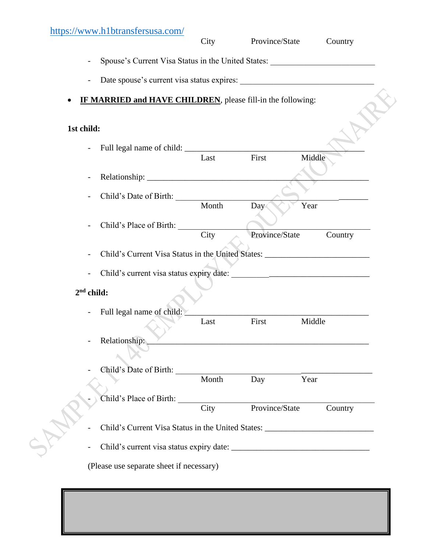## <https://www.h1btransfersusa.com/>

|            | <u>Impo://www.irromanoroususu.com/</u>                                           | City          | Province/State        | Country         |  |  |  |
|------------|----------------------------------------------------------------------------------|---------------|-----------------------|-----------------|--|--|--|
|            | Spouse's Current Visa Status in the United States: _____________________________ |               |                       |                 |  |  |  |
|            | $\overline{\phantom{a}}$                                                         |               |                       |                 |  |  |  |
|            | <b>IF MARRIED and HAVE CHILDREN</b> , please fill-in the following:              |               |                       |                 |  |  |  |
| 1st child: |                                                                                  |               |                       |                 |  |  |  |
|            |                                                                                  | Last          | First                 | Middle          |  |  |  |
|            | $\overline{\phantom{a}}$                                                         |               |                       |                 |  |  |  |
|            | Child's Date of Birth:                                                           |               |                       |                 |  |  |  |
|            | Child's Place of Birth:                                                          | Month<br>City | Day<br>Province/State | Year<br>Country |  |  |  |
|            | Child's Current Visa Status in the United States: ______________________________ |               |                       |                 |  |  |  |
|            | $2nd$ child:                                                                     |               |                       |                 |  |  |  |
|            | - Full legal name of child:                                                      |               |                       |                 |  |  |  |
|            |                                                                                  | Last          | First                 | Middle          |  |  |  |
|            | Relationship:                                                                    |               |                       |                 |  |  |  |
|            | Child's Date of Birth:                                                           | Month         | Day                   | Year            |  |  |  |
|            | Child's Place of Birth:                                                          | City          | Province/State        | Country         |  |  |  |
|            | Child's Current Visa Status in the United States: ______________________________ |               |                       |                 |  |  |  |
|            |                                                                                  |               |                       |                 |  |  |  |
|            | (Please use separate sheet if necessary)                                         |               |                       |                 |  |  |  |